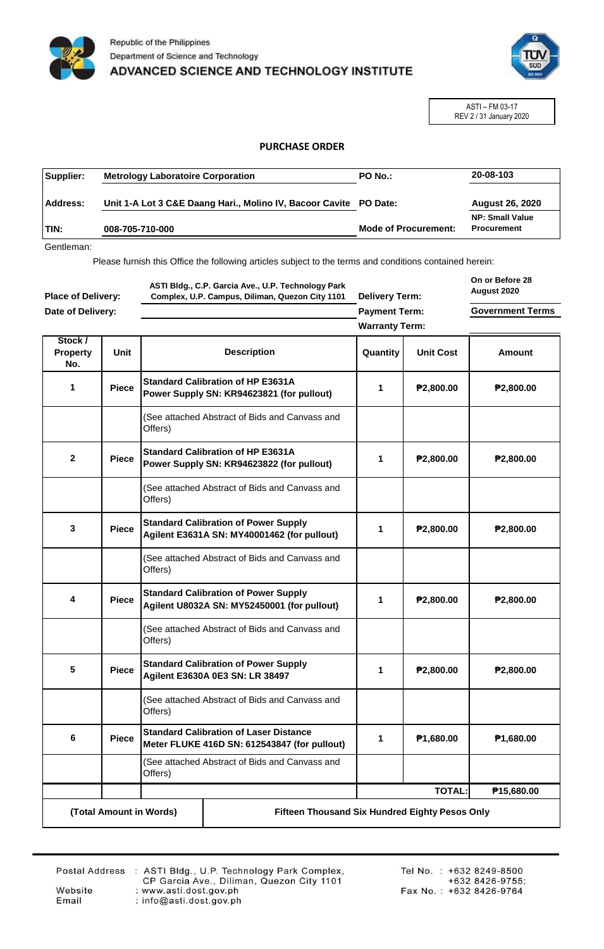



ASTI – FM 03-17 REV 2 / 31 January 2020

## **PURCHASE ORDER**

| Supplier:   | <b>Metrology Laboratoire Corporation</b>                          | <b>PO No.:</b>              | 20-08-103                                    |
|-------------|-------------------------------------------------------------------|-----------------------------|----------------------------------------------|
| Address:    | Unit 1-A Lot 3 C&E Daang Hari., Molino IV, Bacoor Cavite PO Date: |                             | <b>August 26, 2020</b>                       |
| <b>TIN:</b> | 008-705-710-000                                                   | <b>Mode of Procurement:</b> | <b>NP: Small Value</b><br><b>Procurement</b> |

Gentleman:

Please furnish this Office the following articles subject to the terms and conditions contained herein:

| <b>Place of Delivery:</b><br>Date of Delivery: |              | ASTI Bldg., C.P. Garcia Ave., U.P. Technology Park<br>Complex, U.P. Campus, Diliman, Quezon City 1101 |                                                                                               | <b>Delivery Term:</b><br><b>Payment Term:</b> |                  | On or Before 28<br>August 2020<br><b>Government Terms</b> |
|------------------------------------------------|--------------|-------------------------------------------------------------------------------------------------------|-----------------------------------------------------------------------------------------------|-----------------------------------------------|------------------|-----------------------------------------------------------|
|                                                |              |                                                                                                       |                                                                                               | <b>Warranty Term:</b>                         |                  |                                                           |
| Stock /<br><b>Property</b><br>No.              | Unit         |                                                                                                       | <b>Description</b>                                                                            | Quantity                                      | <b>Unit Cost</b> | Amount                                                    |
| 1<br><b>Piece</b>                              |              |                                                                                                       | <b>Standard Calibration of HP E3631A</b><br>Power Supply SN: KR94623821 (for pullout)         | 1                                             | ₱2,800.00        | P2,800.00                                                 |
|                                                |              | Offers)                                                                                               | (See attached Abstract of Bids and Canvass and                                                |                                               |                  |                                                           |
| $\mathbf{2}$                                   | <b>Piece</b> |                                                                                                       | <b>Standard Calibration of HP E3631A</b><br>Power Supply SN: KR94623822 (for pullout)         | 1                                             | ₱2,800.00        | P2,800.00                                                 |
|                                                |              | Offers)                                                                                               | (See attached Abstract of Bids and Canvass and                                                |                                               |                  |                                                           |
| 3                                              | <b>Piece</b> |                                                                                                       | <b>Standard Calibration of Power Supply</b><br>Agilent E3631A SN: MY40001462 (for pullout)    | 1                                             | ₱2,800.00        | P2,800.00                                                 |
|                                                |              | Offers)                                                                                               | (See attached Abstract of Bids and Canvass and                                                |                                               |                  |                                                           |
| 4                                              | <b>Piece</b> |                                                                                                       | <b>Standard Calibration of Power Supply</b><br>Agilent U8032A SN: MY52450001 (for pullout)    | 1                                             | ₱2,800.00        | P2,800.00                                                 |
|                                                |              | Offers)                                                                                               | (See attached Abstract of Bids and Canvass and                                                |                                               |                  |                                                           |
| 5                                              | <b>Piece</b> | <b>Standard Calibration of Power Supply</b><br>Agilent E3630A 0E3 SN: LR 38497                        |                                                                                               | 1                                             | ₱2,800.00        | P2,800.00                                                 |
|                                                |              | Offers)                                                                                               | (See attached Abstract of Bids and Canvass and                                                |                                               |                  |                                                           |
| 6                                              | <b>Piece</b> |                                                                                                       | <b>Standard Calibration of Laser Distance</b><br>Meter FLUKE 416D SN: 612543847 (for pullout) | 1                                             | P1,680.00        | P1,680.00                                                 |
|                                                |              | Offers)                                                                                               | (See attached Abstract of Bids and Canvass and                                                |                                               |                  |                                                           |
|                                                |              |                                                                                                       |                                                                                               |                                               | <b>TOTAL:</b>    | P15,680.00                                                |
|                                                |              | (Total Amount in Words)                                                                               | Fifteen Thousand Six Hundred Eighty Pesos Only                                                |                                               |                  |                                                           |

Website

Email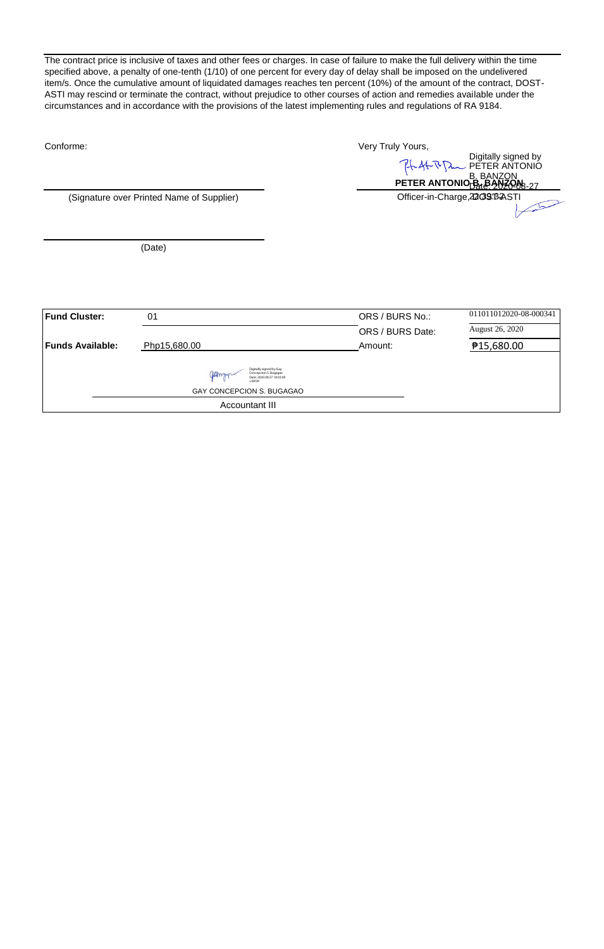The contract price is inclusive of taxes and other fees or charges. In case of failure to make the full delivery within the time specified above, a penalty of one-tenth (1/10) of one percent for every day of delay shall be imposed on the undelivered item/s. Once the cumulative amount of liquidated damages reaches ten percent (10%) of the amount of the contract, DOST-ASTI may rescind or terminate the contract, without prejudice to other courses of action and remedies available under the circumstances and in accordance with the provisions of the latest implementing rules and regulations of RA 9184.

| Conforme:               |                                                                                        | Very Truly Yours, |                                                                                                                                      |  |
|-------------------------|----------------------------------------------------------------------------------------|-------------------|--------------------------------------------------------------------------------------------------------------------------------------|--|
|                         |                                                                                        |                   | Digitally signed by<br>PETER ANTONIO<br>PETER ANTONIO <sub>TRAL</sub> E ANZON<br>PETER ANTONIO <sub>TRAL</sub> E ANZON <sub>27</sub> |  |
|                         |                                                                                        |                   |                                                                                                                                      |  |
|                         | (Signature over Printed Name of Supplier)                                              |                   | Officer-in-Charge, 22093BASTI                                                                                                        |  |
|                         |                                                                                        |                   |                                                                                                                                      |  |
|                         |                                                                                        |                   |                                                                                                                                      |  |
|                         | (Date)                                                                                 |                   |                                                                                                                                      |  |
|                         |                                                                                        |                   |                                                                                                                                      |  |
|                         |                                                                                        |                   |                                                                                                                                      |  |
| <b>Fund Cluster:</b>    |                                                                                        |                   |                                                                                                                                      |  |
|                         | 01                                                                                     | ORS / BURS No.:   | 011011012020-08-000341                                                                                                               |  |
|                         |                                                                                        | ORS / BURS Date:  | August 26, 2020                                                                                                                      |  |
| <b>Funds Available:</b> | Php15,680.00                                                                           | Amount:           | ₱15,680.00                                                                                                                           |  |
|                         | Digitally signed by Gay<br>Concepcion S. Bugagao<br>Date: 2020.08.27 18:03:09<br>ns'nn |                   |                                                                                                                                      |  |
|                         | GAY CONCEPCION S. BUGAGAO                                                              |                   |                                                                                                                                      |  |